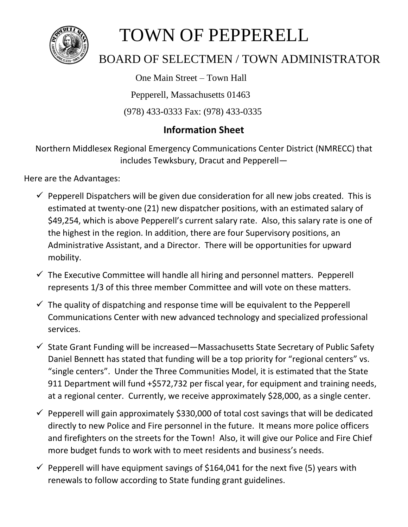

## TOWN OF PEPPERELL

## BOARD OF SELECTMEN / TOWN ADMINISTRATOR

One Main Street – Town Hall

Pepperell, Massachusetts 01463

(978) 433-0333 Fax: (978) 433-0335

## **Information Sheet**

Northern Middlesex Regional Emergency Communications Center District (NMRECC) that includes Tewksbury, Dracut and Pepperell—

Here are the Advantages:

- $\checkmark$  Pepperell Dispatchers will be given due consideration for all new jobs created. This is estimated at twenty-one (21) new dispatcher positions, with an estimated salary of \$49,254, which is above Pepperell's current salary rate. Also, this salary rate is one of the highest in the region. In addition, there are four Supervisory positions, an Administrative Assistant, and a Director. There will be opportunities for upward mobility.
- $\checkmark$  The Executive Committee will handle all hiring and personnel matters. Pepperell represents 1/3 of this three member Committee and will vote on these matters.
- $\checkmark$  The quality of dispatching and response time will be equivalent to the Pepperell Communications Center with new advanced technology and specialized professional services.
- $\checkmark$  State Grant Funding will be increased—Massachusetts State Secretary of Public Safety Daniel Bennett has stated that funding will be a top priority for "regional centers" vs. "single centers". Under the Three Communities Model, it is estimated that the State 911 Department will fund +\$572,732 per fiscal year, for equipment and training needs, at a regional center. Currently, we receive approximately \$28,000, as a single center.
- $\checkmark$  Pepperell will gain approximately \$330,000 of total cost savings that will be dedicated directly to new Police and Fire personnel in the future. It means more police officers and firefighters on the streets for the Town! Also, it will give our Police and Fire Chief more budget funds to work with to meet residents and business's needs.
- $\checkmark$  Pepperell will have equipment savings of \$164,041 for the next five (5) years with renewals to follow according to State funding grant guidelines.